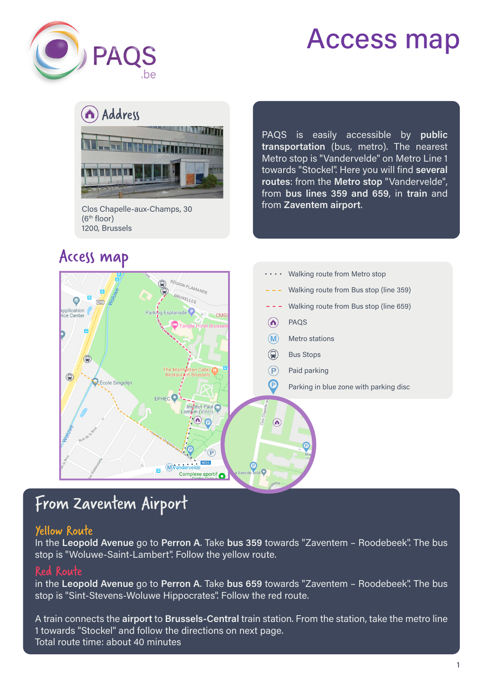





Clos Chapelle-aux-Champs, 30 (6th floor) 1200, Brussels

### Access map

PAQS is easily accessible by **public transportation** (bus, metro). The nearest Metro stop is "Vandervelde" on Metro Line 1 towards "Stockel". Here you will find **several routes**: from the **Metro stop** "Vandervelde", from **bus lines 359 and 659**, in **train** and from **Zaventem airport**.



## From Zaventem Airport

#### Yellow Route

In the **Leopold Avenue** go to **Perron A**. Take **bus 359** towards "Zaventem – Roodebeek". The bus stop is "Woluwe-Saint-Lambert". Follow the yellow route.

#### Red Route

in the **Leopold Avenue** go to **Perron A**. Take **bus 659** towards "Zaventem – Roodebeek". The bus stop is "Sint-Stevens-Woluwe Hippocrates". Follow the red route.

A train connects the **airport** to **Brussels-Central** train station. From the station, take the metro line 1 towards "Stockel" and follow the directions on next page. Total route time: about 40 minutes